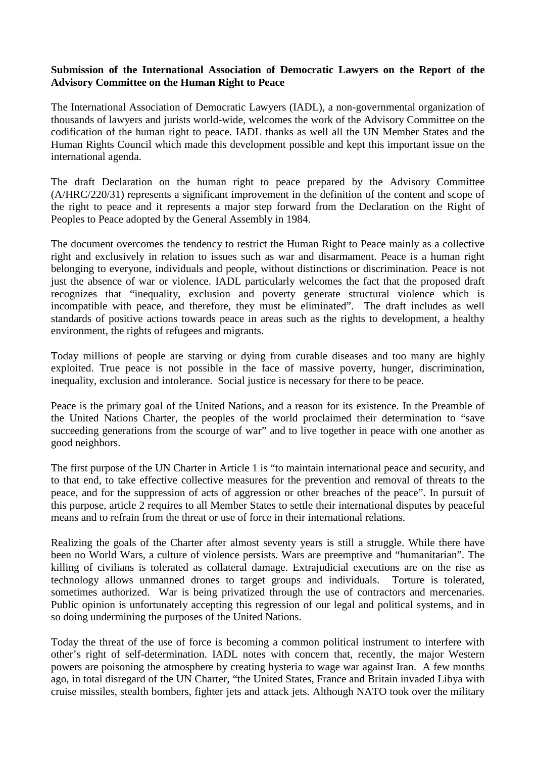## **Submission of the International Association of Democratic Lawyers on the Report of the Advisory Committee on the Human Right to Peace**

The International Association of Democratic Lawyers (IADL), a non-governmental organization of thousands of lawyers and jurists world-wide, welcomes the work of the Advisory Committee on the codification of the human right to peace. IADL thanks as well all the UN Member States and the Human Rights Council which made this development possible and kept this important issue on the international agenda.

The draft Declaration on the human right to peace prepared by the Advisory Committee (A/HRC/220/31) represents a significant improvement in the definition of the content and scope of the right to peace and it represents a major step forward from the Declaration on the Right of Peoples to Peace adopted by the General Assembly in 1984.

The document overcomes the tendency to restrict the Human Right to Peace mainly as a collective right and exclusively in relation to issues such as war and disarmament. Peace is a human right belonging to everyone, individuals and people, without distinctions or discrimination. Peace is not just the absence of war or violence. IADL particularly welcomes the fact that the proposed draft recognizes that "inequality, exclusion and poverty generate structural violence which is incompatible with peace, and therefore, they must be eliminated". The draft includes as well standards of positive actions towards peace in areas such as the rights to development, a healthy environment, the rights of refugees and migrants.

Today millions of people are starving or dying from curable diseases and too many are highly exploited. True peace is not possible in the face of massive poverty, hunger, discrimination, inequality, exclusion and intolerance. Social justice is necessary for there to be peace.

Peace is the primary goal of the United Nations, and a reason for its existence. In the Preamble of the United Nations Charter, the peoples of the world proclaimed their determination to "save succeeding generations from the scourge of war" and to live together in peace with one another as good neighbors.

The first purpose of the UN Charter in Article 1 is "to maintain international peace and security, and to that end, to take effective collective measures for the prevention and removal of threats to the peace, and for the suppression of acts of aggression or other breaches of the peace". In pursuit of this purpose, article 2 requires to all Member States to settle their international disputes by peaceful means and to refrain from the threat or use of force in their international relations.

Realizing the goals of the Charter after almost seventy years is still a struggle. While there have been no World Wars, a culture of violence persists. Wars are preemptive and "humanitarian". The killing of civilians is tolerated as collateral damage. Extrajudicial executions are on the rise as technology allows unmanned drones to target groups and individuals. Torture is tolerated, sometimes authorized. War is being privatized through the use of contractors and mercenaries. Public opinion is unfortunately accepting this regression of our legal and political systems, and in so doing undermining the purposes of the United Nations.

Today the threat of the use of force is becoming a common political instrument to interfere with other's right of self-determination. IADL notes with concern that, recently, the major Western powers are poisoning the atmosphere by creating hysteria to wage war against Iran. A few months ago, in total disregard of the UN Charter, "the United States, France and Britain invaded Libya with cruise missiles, stealth bombers, fighter jets and attack jets. Although NATO took over the military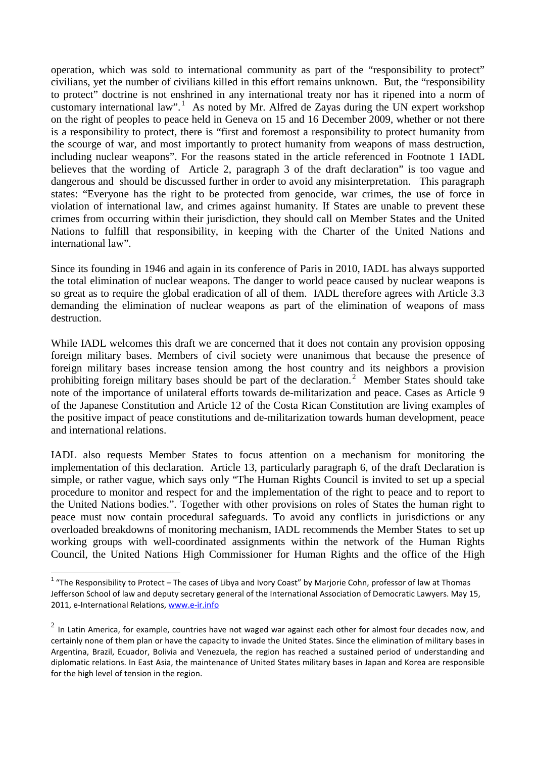operation, which was sold to international community as part of the "responsibility to protect" civilians, yet the number of civilians killed in this effort remains unknown. But, the "responsibility to protect" doctrine is not enshrined in any international treaty nor has it ripened into a norm of customary international law".<sup>1</sup> As noted by Mr. Alfred de Zayas during the UN expert workshop on the right of peoples to peace held in Geneva on 15 and 16 December 2009, whether or not there is a responsibility to protect, there is "first and foremost a responsibility to protect humanity from the scourge of war, and most importantly to protect humanity from weapons of mass destruction, including nuclear weapons". For the reasons stated in the article referenced in Footnote 1 IADL believes that the wording of Article 2, paragraph 3 of the draft declaration" is too vague and dangerous and should be discussed further in order to avoid any misinterpretation. This paragraph states: "Everyone has the right to be protected from genocide, war crimes, the use of force in violation of international law, and crimes against humanity. If States are unable to prevent these crimes from occurring within their jurisdiction, they should call on Member States and the United Nations to fulfill that responsibility, in keeping with the Charter of the United Nations and international law".

Since its founding in 1946 and again in its conference of Paris in 2010, IADL has always supported the total elimination of nuclear weapons. The danger to world peace caused by nuclear weapons is so great as to require the global eradication of all of them. IADL therefore agrees with Article 3.3 demanding the elimination of nuclear weapons as part of the elimination of weapons of mass destruction.

While IADL welcomes this draft we are concerned that it does not contain any provision opposing foreign military bases. Members of civil society were unanimous that because the presence of foreign military bases increase tension among the host country and its neighbors a provision prohibiting foreign military bases should be part of the declaration.<sup>2</sup> Member States should take note of the importance of unilateral efforts towards de-militarization and peace. Cases as Article 9 of the Japanese Constitution and Article 12 of the Costa Rican Constitution are living examples of the positive impact of peace constitutions and de-militarization towards human development, peace and international relations.

IADL also requests Member States to focus attention on a mechanism for monitoring the implementation of this declaration. Article 13, particularly paragraph 6, of the draft Declaration is simple, or rather vague, which says only "The Human Rights Council is invited to set up a special procedure to monitor and respect for and the implementation of the right to peace and to report to the United Nations bodies.". Together with other provisions on roles of States the human right to peace must now contain procedural safeguards. To avoid any conflicts in jurisdictions or any overloaded breakdowns of monitoring mechanism, IADL recommends the Member States to set up working groups with well-coordinated assignments within the network of the Human Rights Council, the United Nations High Commissioner for Human Rights and the office of the High

 $1$  "The Responsibility to Protect – The cases of Libya and Ivory Coast" by Marjorie Cohn, professor of law at Thomas Jefferson School of law and deputy secretary general of the International Association of Democratic Lawyers. May 15, 2011, e-International Relations, [www.e-ir.info](http://www.e-ir.info/) 

 $2$  In Latin America, for example, countries have not waged war against each other for almost four decades now, and certainly none of them plan or have the capacity to invade the United States. Since the elimination of military bases in Argentina, Brazil, Ecuador, Bolivia and Venezuela, the region has reached a sustained period of understanding and diplomatic relations. In East Asia, the maintenance of United States military bases in Japan and Korea are responsible for the high level of tension in the region.